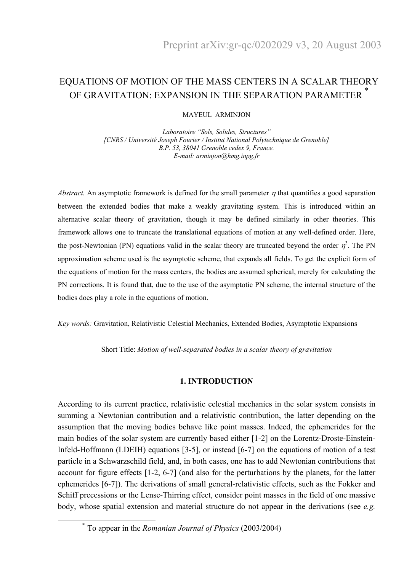# EQUATIONS OF MOTION OF THE MASS CENTERS IN A SCALAR THEORY OF GRAVITATION: EXPANSION IN THE SEPARATION PARAMETER  $^\ast$

### MAYEUL ARMINJON

*Laboratoire "Sols, Solides, Structures" [CNRS / Université Joseph Fourier / Institut National Polytechnique de Grenoble] B.P. 53, 38041 Grenoble cedex 9, France. E-mail: arminjon@hmg.inpg.fr*

*Abstract.* An asymptotic framework is defined for the small parameter  $\eta$  that quantifies a good separation between the extended bodies that make a weakly gravitating system. This is introduced within an alternative scalar theory of gravitation, though it may be defined similarly in other theories. This framework allows one to truncate the translational equations of motion at any well-defined order. Here, the post-Newtonian (PN) equations valid in the scalar theory are truncated beyond the order  $\eta^3$ . The PN approximation scheme used is the asymptotic scheme, that expands all fields. To get the explicit form of the equations of motion for the mass centers, the bodies are assumed spherical, merely for calculating the PN corrections. It is found that, due to the use of the asymptotic PN scheme, the internal structure of the bodies does play a role in the equations of motion.

*Key words:* Gravitation, Relativistic Celestial Mechanics, Extended Bodies, Asymptotic Expansions

Short Title: *Motion of well-separated bodies in a scalar theory of gravitation*

### **1. INTRODUCTION**

According to its current practice, relativistic celestial mechanics in the solar system consists in summing a Newtonian contribution and a relativistic contribution, the latter depending on the assumption that the moving bodies behave like point masses. Indeed, the ephemerides for the main bodies of the solar system are currently based either [1-2] on the Lorentz-Droste-Einstein-Infeld-Hoffmann (LDEIH) equations [3-5], or instead [6-7] on the equations of motion of a test particle in a Schwarzschild field, and, in both cases, one has to add Newtonian contributions that account for figure effects [1-2, 6-7] (and also for the perturbations by the planets, for the latter ephemerides [6-7]). The derivations of small general-relativistic effects, such as the Fokker and Schiff precessions or the Lense-Thirring effect, consider point masses in the field of one massive body, whose spatial extension and material structure do not appear in the derivations (see *e.g.*

\* To appear in the *Romanian Journal of Physics* (2003/2004)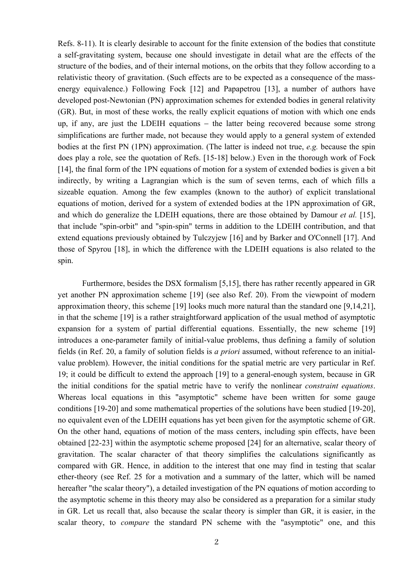Refs. 8-11). It is clearly desirable to account for the finite extension of the bodies that constitute a self-gravitating system, because one should investigate in detail what are the effects of the structure of the bodies, and of their internal motions, on the orbits that they follow according to a relativistic theory of gravitation. (Such effects are to be expected as a consequence of the massenergy equivalence.) Following Fock [12] and Papapetrou [13], a number of authors have developed post-Newtonian (PN) approximation schemes for extended bodies in general relativity (GR). But, in most of these works, the really explicit equations of motion with which one ends up, if any, are just the LDEIH equations – the latter being recovered because some strong simplifications are further made, not because they would apply to a general system of extended bodies at the first PN (1PN) approximation. (The latter is indeed not true, *e.g.* because the spin does play a role, see the quotation of Refs. [15-18] below.) Even in the thorough work of Fock [14], the final form of the 1PN equations of motion for a system of extended bodies is given a bit indirectly, by writing a Lagrangian which is the sum of seven terms, each of which fills a sizeable equation. Among the few examples (known to the author) of explicit translational equations of motion, derived for a system of extended bodies at the 1PN approximation of GR, and which do generalize the LDEIH equations, there are those obtained by Damour *et al.* [15], that include "spin-orbit" and "spin-spin" terms in addition to the LDEIH contribution, and that extend equations previously obtained by Tulczyjew [16] and by Barker and O'Connell [17]. And those of Spyrou [18], in which the difference with the LDEIH equations is also related to the spin.

 Furthermore, besides the DSX formalism [5,15], there has rather recently appeared in GR yet another PN approximation scheme [19] (see also Ref. 20). From the viewpoint of modern approximation theory, this scheme [19] looks much more natural than the standard one [9,14,21], in that the scheme [19] is a rather straightforward application of the usual method of asymptotic expansion for a system of partial differential equations. Essentially, the new scheme [19] introduces a one-parameter family of initial-value problems, thus defining a family of solution fields (in Ref. 20, a family of solution fields is *a priori* assumed, without reference to an initialvalue problem). However, the initial conditions for the spatial metric are very particular in Ref. 19; it could be difficult to extend the approach [19] to a general-enough system, because in GR the initial conditions for the spatial metric have to verify the nonlinear *constraint equations*. Whereas local equations in this "asymptotic" scheme have been written for some gauge conditions [19-20] and some mathematical properties of the solutions have been studied [19-20], no equivalent even of the LDEIH equations has yet been given for the asymptotic scheme of GR. On the other hand, equations of motion of the mass centers, including spin effects, have been obtained [22-23] within the asymptotic scheme proposed [24] for an alternative, scalar theory of gravitation. The scalar character of that theory simplifies the calculations significantly as compared with GR. Hence, in addition to the interest that one may find in testing that scalar ether-theory (see Ref. 25 for a motivation and a summary of the latter, which will be named hereafter "the scalar theory"), a detailed investigation of the PN equations of motion according to the asymptotic scheme in this theory may also be considered as a preparation for a similar study in GR. Let us recall that, also because the scalar theory is simpler than GR, it is easier, in the scalar theory, to *compare* the standard PN scheme with the "asymptotic" one, and this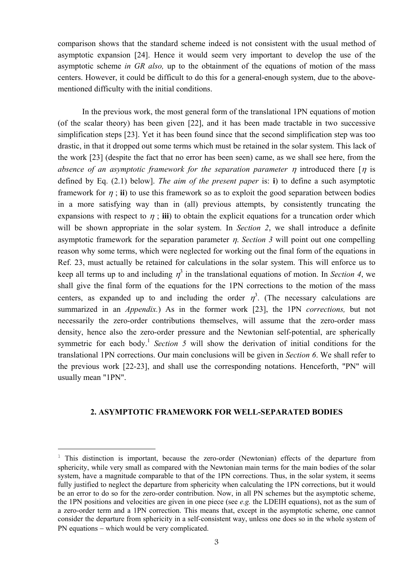comparison shows that the standard scheme indeed is not consistent with the usual method of asymptotic expansion [24]. Hence it would seem very important to develop the use of the asymptotic scheme *in GR also,* up to the obtainment of the equations of motion of the mass centers. However, it could be difficult to do this for a general-enough system, due to the abovementioned difficulty with the initial conditions.

 In the previous work, the most general form of the translational 1PN equations of motion (of the scalar theory) has been given [22], and it has been made tractable in two successive simplification steps [23]. Yet it has been found since that the second simplification step was too drastic, in that it dropped out some terms which must be retained in the solar system. This lack of the work [23] (despite the fact that no error has been seen) came, as we shall see here, from the *absence of an asymptotic framework for the separation parameter*  $\eta$  *introduced there* [ $\eta$  is defined by Eq. (2.1) below]. *The aim of the present paper* is: **i**) to define a such asymptotic framework for  $\eta$ ; **ii**) to use this framework so as to exploit the good separation between bodies in a more satisfying way than in (all) previous attempts, by consistently truncating the expansions with respect to  $\eta$ ; **iii**) to obtain the explicit equations for a truncation order which will be shown appropriate in the solar system. In *Section 2*, we shall introduce a definite asymptotic framework for the separation parameter η. *Section 3* will point out one compelling reason why some terms, which were neglected for working out the final form of the equations in Ref. 23, must actually be retained for calculations in the solar system. This will enforce us to keep all terms up to and including  $\eta^3$  in the translational equations of motion. In *Section 4*, we shall give the final form of the equations for the 1PN corrections to the motion of the mass centers, as expanded up to and including the order  $\eta^3$ . (The necessary calculations are summarized in an *Appendix.*) As in the former work [23], the 1PN *corrections,* but not necessarily the zero-order contributions themselves, will assume that the zero-order mass density, hence also the zero-order pressure and the Newtonian self-potential, are spherically symmetric for each body.<sup>1</sup> *Section 5* will show the derivation of initial conditions for the translational 1PN corrections. Our main conclusions will be given in *Section 6*. We shall refer to the previous work [22-23], and shall use the corresponding notations. Henceforth, "PN" will usually mean "1PN".

### **2. ASYMPTOTIC FRAMEWORK FOR WELL-SEPARATED BODIES**

i

<sup>&</sup>lt;sup>1</sup> This distinction is important, because the zero-order (Newtonian) effects of the departure from sphericity, while very small as compared with the Newtonian main terms for the main bodies of the solar system, have a magnitude comparable to that of the 1PN corrections. Thus, in the solar system, it seems fully justified to neglect the departure from sphericity when calculating the 1PN corrections, but it would be an error to do so for the zero-order contribution. Now, in all PN schemes but the asymptotic scheme, the 1PN positions and velocities are given in one piece (see *e.g.* the LDEIH equations), not as the sum of a zero-order term and a 1PN correction. This means that, except in the asymptotic scheme, one cannot consider the departure from sphericity in a self-consistent way, unless one does so in the whole system of PN equations – which would be very complicated.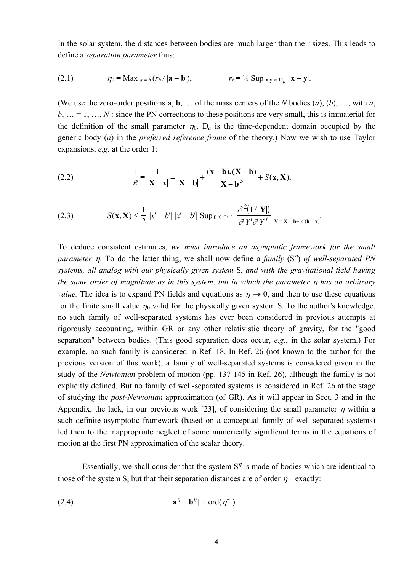In the solar system, the distances between bodies are much larger than their sizes. This leads to define a *separation parameter* thus:

(2.1) 
$$
\eta_0 \equiv \text{Max }_{a \neq b} (r_b/|\mathbf{a} - \mathbf{b}|), \qquad r_b \equiv \frac{1}{2} \text{Sup }_{\mathbf{x}, \mathbf{y} \in D_b} |\mathbf{x} - \mathbf{y}|.
$$

(We use the zero-order positions **a**, **b**, … of the mass centers of the *N* bodies (*a*), (*b*), …, with *a*,  $b, \ldots = 1, \ldots, N$ : since the PN corrections to these positions are very small, this is immaterial for the definition of the small parameter  $\eta_0$ .  $D_a$  is the time-dependent domain occupied by the generic body (*a*) in the *preferred reference frame* of the theory.) Now we wish to use Taylor expansions, *e.g.* at the order 1:

(2.2) 
$$
\frac{1}{R} = \frac{1}{|\mathbf{X} - \mathbf{x}|} = \frac{1}{|\mathbf{X} - \mathbf{b}|} + \frac{(\mathbf{x} - \mathbf{b}).(\mathbf{X} - \mathbf{b})}{|\mathbf{X} - \mathbf{b}|^3} + S(\mathbf{x}, \mathbf{X}),
$$

(2.3) 
$$
S(\mathbf{x}, \mathbf{X}) \leq \frac{1}{2} |x^{i} - b^{i}| |x^{j} - b^{j}| \text{ Sup } 0 \leq \zeta \leq 1 \left| \frac{\partial^{2} (1/|\mathbf{Y}|)}{\partial Y^{i} \partial Y^{j}} \right| \mathbf{Y} = \mathbf{X} - \mathbf{b} + \zeta(\mathbf{b} - \mathbf{x})
$$

To deduce consistent estimates, *we must introduce an asymptotic framework for the small parameter η.* To do the latter thing, we shall now define a *family* (S<sup>η</sup>) *of well-separated PN systems, all analog with our physically given system* S*, and with the gravitational field having the same order of magnitude as in this system, but in which the parameter* η *has an arbitrary value.* The idea is to expand PN fields and equations as  $\eta \rightarrow 0$ , and then to use these equations for the finite small value  $\eta_0$  valid for the physically given system S. To the author's knowledge, no such family of well-separated systems has ever been considered in previous attempts at rigorously accounting, within GR or any other relativistic theory of gravity, for the "good separation" between bodies. (This good separation does occur, *e.g.*, in the solar system.) For example, no such family is considered in Ref. 18. In Ref. 26 (not known to the author for the previous version of this work), a family of well-separated systems is considered given in the study of the *Newtonian* problem of motion (pp. 137-145 in Ref. 26), although the family is not explicitly defined. But no family of well-separated systems is considered in Ref. 26 at the stage of studying the *post-Newtonian* approximation (of GR). As it will appear in Sect. 3 and in the Appendix, the lack, in our previous work [23], of considering the small parameter  $\eta$  within a such definite asymptotic framework (based on a conceptual family of well-separated systems) led then to the inappropriate neglect of some numerically significant terms in the equations of motion at the first PN approximation of the scalar theory.

Essentially, we shall consider that the system  $S<sup>*n*</sup>$  is made of bodies which are identical to those of the system S, but that their separation distances are of order  $\eta^{-1}$  exactly:

$$
|\mathbf{a}^{\eta} - \mathbf{b}^{\eta}| = \operatorname{ord}(\eta^{-1}).
$$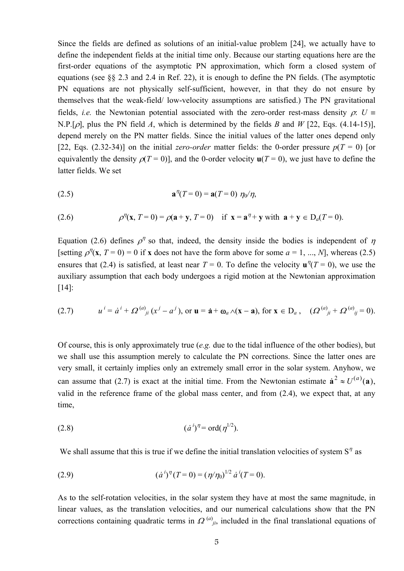Since the fields are defined as solutions of an initial-value problem [24], we actually have to define the independent fields at the initial time only. Because our starting equations here are the first-order equations of the asymptotic PN approximation, which form a closed system of equations (see §§ 2.3 and 2.4 in Ref. 22), it is enough to define the PN fields. (The asymptotic PN equations are not physically self-sufficient, however, in that they do not ensure by themselves that the weak-field/ low-velocity assumptions are satisfied.) The PN gravitational fields, *i.e.* the Newtonian potential associated with the zero-order rest-mass density  $\rho$ :  $U =$ N.P.[ρ], plus the PN field *A*, which is determined by the fields *B* and *W* [22, Eqs. (4.14-15)], depend merely on the PN matter fields. Since the initial values of the latter ones depend only [22, Eqs. (2.32-34)] on the initial *zero-order* matter fields: the 0-order pressure  $p(T = 0)$  [or equivalently the density  $\rho(T=0)$ ], and the 0-order velocity  $\mathbf{u}(T=0)$ , we just have to define the latter fields. We set

(2.5) 
$$
\mathbf{a}^{\eta}(T=0) = \mathbf{a}(T=0) \; \eta_0/\eta,
$$

(2.6) 
$$
\rho^{\eta}(\mathbf{x}, T=0) = \rho(\mathbf{a} + \mathbf{y}, T=0) \text{ if } \mathbf{x} = \mathbf{a}^{\eta} + \mathbf{y} \text{ with } \mathbf{a} + \mathbf{y} \in D_a(T=0).
$$

Equation (2.6) defines  $\rho^{\eta}$  so that, indeed, the density inside the bodies is independent of  $\eta$ [setting  $\rho^{\eta}(x, T = 0) = 0$  if x does not have the form above for some  $a = 1, ..., N$ ], whereas (2.5) ensures that (2.4) is satisfied, at least near  $T = 0$ . To define the velocity  $\mathbf{u}^{\eta}(T = 0)$ , we use the auxiliary assumption that each body undergoes a rigid motion at the Newtonian approximation [14]:

(2.7) 
$$
u^{i} = \dot{a}^{i} + \Omega^{(a)}_{ji} (x^{j} - a^{j}), \text{ or } \mathbf{u} = \dot{\mathbf{a}} + \mathbf{\omega}_{a} \wedge (\mathbf{x} - \mathbf{a}), \text{ for } \mathbf{x} \in D_{a}, \quad (\Omega^{(a)}_{ji} + \Omega^{(a)}_{ij} = 0).
$$

Of course, this is only approximately true (*e.g.* due to the tidal influence of the other bodies), but we shall use this assumption merely to calculate the PN corrections. Since the latter ones are very small, it certainly implies only an extremely small error in the solar system. Anyhow, we can assume that (2.7) is exact at the initial time. From the Newtonian estimate  $\dot{a}^2 \approx U^{(a)}(a)$ , valid in the reference frame of the global mass center, and from (2.4), we expect that, at any time,

(2.8) 
$$
(\dot{a}^i)^{\eta} = \text{ord}(\eta^{1/2}).
$$

We shall assume that this is true if we define the initial translation velocities of system  $S<sup>*η*</sup>$  as

(2.9) 
$$
(\dot{a}^i)^{\eta}(T=0) = (\eta/\eta_0)^{1/2} \dot{a}^i(T=0).
$$

As to the self-rotation velocities, in the solar system they have at most the same magnitude, in linear values, as the translation velocities, and our numerical calculations show that the PN corrections containing quadratic terms in  $\Omega^{(a)}_{ji}$ , included in the final translational equations of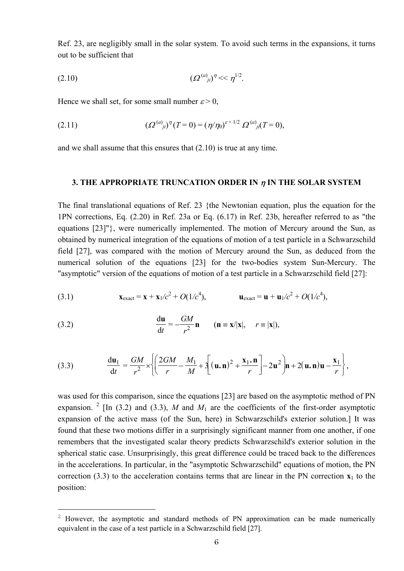Ref. 23, are negligibly small in the solar system. To avoid such terms in the expansions, it turns out to be sufficient that

$$
(2.10) \t\t (2^{(a)}_{ji})^{\eta} \ll \eta^{1/2}.
$$

Hence we shall set, for some small number  $\varepsilon > 0$ ,

(2.11) 
$$
(\Omega^{(a)}_{ji})^{\eta}(T=0) = (\eta/\eta_0)^{\varepsilon+1/2} \Omega^{(a)}_{ji}(T=0),
$$

and we shall assume that this ensures that (2.10) is true at any time.

### **3. THE APPROPRIATE TRUNCATION ORDER IN** η **IN THE SOLAR SYSTEM**

The final translational equations of Ref. 23 {the Newtonian equation, plus the equation for the 1PN corrections, Eq. (2.20) in Ref. 23a or Eq. (6.17) in Ref. 23b, hereafter referred to as "the equations [23]"}, were numerically implemented. The motion of Mercury around the Sun, as obtained by numerical integration of the equations of motion of a test particle in a Schwarzschild field [27], was compared with the motion of Mercury around the Sun, as deduced from the numerical solution of the equations [23] for the two-bodies system Sun-Mercury. The "asymptotic" version of the equations of motion of a test particle in a Schwarzschild field [27]:

(3.1) 
$$
\mathbf{x}_{\text{exact}} = \mathbf{x} + \mathbf{x}_1/c^2 + O(1/c^4), \qquad \mathbf{u}_{\text{exact}} = \mathbf{u} + \mathbf{u}_1/c^2 + O(1/c^4),
$$

(3.2) 
$$
\frac{d\mathbf{u}}{dt} = -\frac{GM}{r^2}\mathbf{n} \qquad (\mathbf{n} \equiv \mathbf{x}/|\mathbf{x}|, \quad r \equiv |\mathbf{x}|),
$$

i

(3.3) 
$$
\frac{d\mathbf{u}_1}{dt} = \frac{GM}{r^2} \times \left\{ \left( \frac{2GM}{r} - \frac{M_1}{M} + 3\left[ (\mathbf{u}.\mathbf{n})^2 + \frac{\mathbf{x}_1.\mathbf{n}}{r} \right] - 2\mathbf{u}^2 \right) \mathbf{n} + 2(\mathbf{u}.\mathbf{n})\mathbf{u} - \frac{\mathbf{x}_1}{r} \right\},
$$

was used for this comparison, since the equations [23] are based on the asymptotic method of PN expansion. <sup>2</sup> [In (3.2) and (3.3), *M* and  $M_1$  are the coefficients of the first-order asymptotic expansion of the active mass (of the Sun, here) in Schwarzschild's exterior solution.] It was found that these two motions differ in a surprisingly significant manner from one another, if one remembers that the investigated scalar theory predicts Schwarzschild's exterior solution in the spherical static case. Unsurprisingly, this great difference could be traced back to the differences in the accelerations. In particular, in the "asymptotic Schwarzschild" equations of motion, the PN correction (3.3) to the acceleration contains terms that are linear in the PN correction  $\mathbf{x}_1$  to the position:

<sup>&</sup>lt;sup>2</sup> However, the asymptotic and standard methods of PN approximation can be made numerically equivalent in the case of a test particle in a Schwarzschild field [27].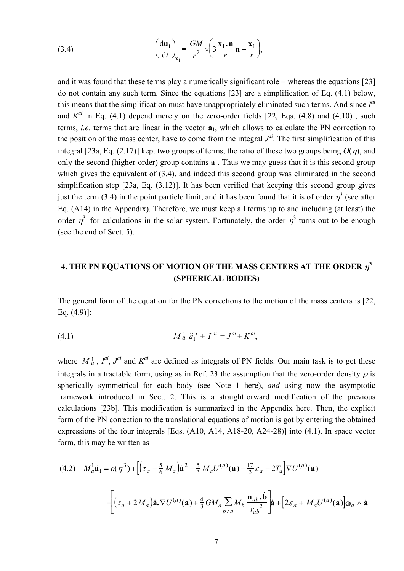(3.4) 
$$
\left(\frac{du_1}{dt}\right)_{x_1} = \frac{GM}{r^2} \times \left(3\frac{x_1 \cdot n}{r} n - \frac{x_1}{r}\right),
$$

and it was found that these terms play a numerically significant role − whereas the equations [23] do not contain any such term. Since the equations [23] are a simplification of Eq. (4.1) below, this means that the simplification must have unappropriately eliminated such terms. And since *Iai* and  $K^{ai}$  in Eq. (4.1) depend merely on the zero-order fields [22, Eqs. (4.8) and (4.10)], such terms, *i.e.* terms that are linear in the vector **a**1, which allows to calculate the PN correction to the position of the mass center, have to come from the integral  $J^{ai}$ . The first simplification of this integral [23a, Eq. (2.17)] kept two groups of terms, the ratio of these two groups being  $O(\eta)$ , and only the second (higher-order) group contains  $\mathbf{a}_1$ . Thus we may guess that it is this second group which gives the equivalent of  $(3.4)$ , and indeed this second group was eliminated in the second simplification step [23a, Eq. (3.12)]. It has been verified that keeping this second group gives just the term (3.4) in the point particle limit, and it has been found that it is of order  $\eta^3$  (see after Eq. (A14) in the Appendix). Therefore, we must keep all terms up to and including (at least) the order  $\eta^3$  for calculations in the solar system. Fortunately, the order  $\eta^3$  turns out to be enough (see the end of Sect. 5).

## **4. THE PN EQUATIONS OF MOTION OF THE MASS CENTERS AT THE ORDER**  $\eta^3$ **(SPHERICAL BODIES)**

The general form of the equation for the PN corrections to the motion of the mass centers is [22, Eq. (4.9)]:

(4.1) 
$$
M_{a}^{1} \ddot{a}_{1}^{i} + \dot{I}^{ai} = J^{ai} + K^{ai},
$$

where  $M_a^1$ ,  $I^{ai}$ ,  $J^{ai}$  and  $K^{ai}$  are defined as integrals of PN fields. Our main task is to get these integrals in a tractable form, using as in Ref. 23 the assumption that the zero-order density  $\rho$  is spherically symmetrical for each body (see Note 1 here), *and* using now the asymptotic framework introduced in Sect. 2. This is a straightforward modification of the previous calculations [23b]. This modification is summarized in the Appendix here. Then, the explicit form of the PN correction to the translational equations of motion is got by entering the obtained expressions of the four integrals [Eqs. (A10, A14, A18-20, A24-28)] into (4.1). In space vector form, this may be written as

(4.2) 
$$
M_a^1 \ddot{\mathbf{a}}_1 = o(\eta^3) + \left[ \left( \tau_a - \frac{5}{6} M_a \right) \dot{\mathbf{a}}^2 - \frac{5}{3} M_a U^{(a)}(\mathbf{a}) - \frac{17}{3} \varepsilon_a - 2T_a \right] \nabla U^{(a)}(\mathbf{a})
$$

$$
- \left[ \left( \tau_a + 2 M_a \right) \dot{\mathbf{a}} \cdot \nabla U^{(a)}(\mathbf{a}) + \frac{4}{3} G M_a \sum_{b \neq a} M_b \frac{\mathbf{n}_{ab} \cdot \dot{\mathbf{b}}}{r_{ab}^2} \right] \dot{\mathbf{a}} + \left[ 2\varepsilon_a + M_a U^{(a)}(\mathbf{a}) \right] \mathbf{\omega}_a \wedge \dot{\mathbf{a}}
$$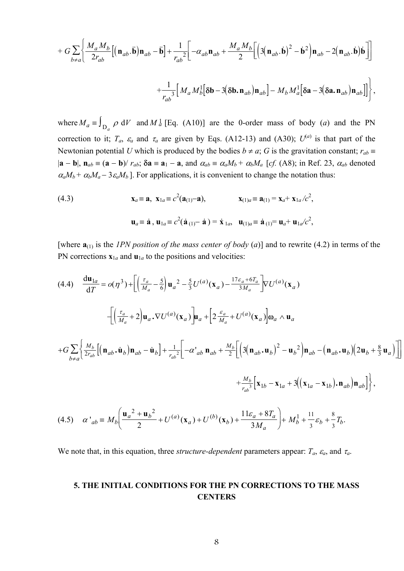$$
+ G \sum_{b \neq a} \left\{ \frac{M_a M_b}{2r_{ab}} \left[ \left( \mathbf{n}_{ab} \cdot \ddot{\mathbf{b}} \right) \mathbf{n}_{ab} - \ddot{\mathbf{b}} \right] + \frac{1}{r_{ab}^2} \left[ -\alpha_{ab} \mathbf{n}_{ab} + \frac{M_a M_b}{2} \left[ \left( 3 \left( \mathbf{n}_{ab} \cdot \dot{\mathbf{b}} \right)^2 - \dot{\mathbf{b}}^2 \right) \mathbf{n}_{ab} - 2 \left( \mathbf{n}_{ab} \cdot \dot{\mathbf{b}} \right) \dot{\mathbf{b}} \right] \right] + \frac{1}{r_{ab}^3} \left[ M_a M_b^1 \left[ \delta \mathbf{b} - 3 \left( \delta \mathbf{b} \cdot \mathbf{n}_{ab} \right) \mathbf{n}_{ab} \right] - M_b M_a^1 \left[ \delta \mathbf{a} - 3 \left( \delta \mathbf{a} \cdot \mathbf{n}_{ab} \right) \mathbf{n}_{ab} \right] \right],
$$

where  $M_a \equiv \int_{D_a} \rho \ dV$  and  $M_a^1$  [Eq. (A10)] are the 0-order mass of body (*a*) and the PN correction to it;  $T_a$ ,  $\varepsilon_a$  and  $\tau_a$  are given by Eqs. (A12-13) and (A30);  $U^{(a)}$  is that part of the Newtonian potential *U* which is produced by the bodies  $b \neq a$ ; *G* is the gravitation constant;  $r_{ab} \equiv$  $|\mathbf{a} - \mathbf{b}|$ ,  $\mathbf{n}_{ab} \equiv (\mathbf{a} - \mathbf{b})/r_{ab}$ ;  $\delta \mathbf{a} \equiv \mathbf{a}_1 - \mathbf{a}$ , and  $\alpha_{ab} \equiv \alpha_a M_b + \alpha_b M_a$  [cf. (A8); in Ref. 23,  $\alpha_{ab}$  denoted  $\alpha_a M_b + \alpha_b M_a - 3 \epsilon_a M_b$ ]. For applications, it is convenient to change the notation thus:

(4.3) 
$$
\mathbf{x}_a \equiv \mathbf{a}, \ \mathbf{x}_{1a} \equiv c^2(\mathbf{a}_{(1)} - \mathbf{a}), \qquad \mathbf{x}_{(1)a} \equiv \mathbf{a}_{(1)} = \mathbf{x}_a + \mathbf{x}_{1a}/c^2,
$$
  
 $\mathbf{u}_a \equiv \dot{\mathbf{a}}, \ \mathbf{u}_{1a} \equiv c^2(\dot{\mathbf{a}}_{(1)} - \dot{\mathbf{a}}) = \dot{\mathbf{x}}_{1a}, \ \ \mathbf{u}_{(1)a} \equiv \dot{\mathbf{a}}_{(1)} = \mathbf{u}_a + \mathbf{u}_{1a}/c^2,$ 

[where  $\mathbf{a}_{(1)}$  is the *IPN position of the mass center of body* (*a*)] and to rewrite (4.2) in terms of the PN corrections  $\mathbf{x}_{1a}$  and  $\mathbf{u}_{1a}$  to the positions and velocities:

$$
(4.4) \frac{d\mathbf{u}_{1a}}{dT} = o(\eta^{3}) + \left[ \left( \frac{\tau_{a}}{M_{a}} - \frac{5}{6} \right) \mathbf{u}_{a}^{2} - \frac{5}{3} U^{(a)}(\mathbf{x}_{a}) - \frac{17\epsilon_{a} + 6T_{a}}{3M_{a}} \right] \nabla U^{(a)}(\mathbf{x}_{a})
$$
\n
$$
- \left[ \left( \frac{\tau_{a}}{M_{a}} + 2 \right) \mathbf{u}_{a} \cdot \nabla U^{(a)}(\mathbf{x}_{a}) \right] \mathbf{u}_{a} + \left[ 2 \frac{\epsilon_{a}}{M_{a}} + U^{(a)}(\mathbf{x}_{a}) \right] \mathbf{0}_{a} \wedge \mathbf{u}_{a}
$$
\n
$$
+ G \sum_{b \neq a} \left\{ \frac{M_{b}}{2r_{ab}} \left[ \left( \mathbf{n}_{ab}, \dot{\mathbf{u}}_{b} \right) \mathbf{n}_{ab} - \dot{\mathbf{u}}_{b} \right] + \frac{1}{r_{ab}^{2}} \left[ -\alpha^{'}_{ab} \mathbf{n}_{ab} + \frac{M_{b}}{2} \left[ \left( 3 \left( \mathbf{n}_{ab}, \mathbf{u}_{b} \right)^{2} - \mathbf{u}_{b}^{2} \right) \mathbf{n}_{ab} - \left( \mathbf{n}_{ab}, \mathbf{u}_{b} \right) \left( 2\mathbf{u}_{b} + \frac{8}{3} \mathbf{u}_{a} \right) \right] \right]
$$
\n
$$
+ \frac{M_{b}}{r_{ab}^{3}} \left[ \mathbf{x}_{1b} - \mathbf{x}_{1a} + 3 \left( \left( \mathbf{x}_{1a} - \mathbf{x}_{1b} \right), \mathbf{n}_{ab} \right) \mathbf{n}_{ab} \right] \right\},
$$
\n
$$
( \mathbf{n}_{a}^{2} + \mathbf{n}_{a}^{2} \mathbf{n}_{a}^{2} + \mathbf{n}_{a}^{2} \mathbf{n}_{a}^{2} \mathbf{n}_{a}^{2} + \frac{M_{b}}{r_{ab}^{3}} \left[ \mathbf{x}_{1b} - \mathbf{x}_{1a} + 3 \left( \left( \mathbf{x}_{1a} - \mathbf{x}_{1b} \right), \mathbf{n}_{ab} \right) \mathbf{n}_{ab} \right] \right\},
$$

$$
(4.5) \quad \alpha'_{ab} \equiv M_b \left( \frac{\mathbf{u}_a{}^2 + \mathbf{u}_b{}^2}{2} + U^{(a)}(\mathbf{x}_a) + U^{(b)}(\mathbf{x}_b) + \frac{11\varepsilon_a + 8T_a}{3M_a} \right) + M_b^1 + \frac{11}{3}\varepsilon_b + \frac{8}{3}T_b.
$$

We note that, in this equation, three *structure-dependent* parameters appear:  $T_a$ ,  $\varepsilon_a$ , and  $\tau_a$ .

### **5. THE INITIAL CONDITIONS FOR THE PN CORRECTIONS TO THE MASS CENTERS**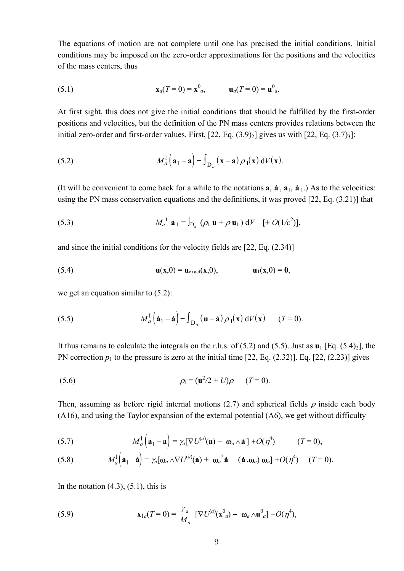The equations of motion are not complete until one has precised the initial conditions. Initial conditions may be imposed on the zero-order approximations for the positions and the velocities of the mass centers, thus

(5.1) 
$$
\mathbf{x}_a(T=0) = \mathbf{x}_{a}^0, \qquad \mathbf{u}_a(T=0) = \mathbf{u}_{a}^0.
$$

At first sight, this does not give the initial conditions that should be fulfilled by the first-order positions and velocities, but the definition of the PN mass centers provides relations between the initial zero-order and first-order values. First,  $[22, Eq. (3.9)<sub>2</sub>]$  gives us with  $[22, Eq. (3.7)<sub>3</sub>]$ :

(5.2) 
$$
M_a^1(\mathbf{a}_1 - \mathbf{a}) = \int_{\mathbf{D}_a} (\mathbf{x} - \mathbf{a}) \rho_1(\mathbf{x}) dV(\mathbf{x}).
$$

(It will be convenient to come back for a while to the notations  $\bf{a}$ ,  $\bf{a}$ ,  $\bf{a}$ <sub>1</sub>,  $\bf{a}$ <sub>1</sub>.) As to the velocities: using the PN mass conservation equations and the definitions, it was proved [22, Eq. (3.21)] that

(5.3) 
$$
M_a^1 \mathbf{a}_1 = \int_{\mathcal{D}_a} (\rho_1 \mathbf{u} + \rho \mathbf{u}_1) dV \quad [+ O(1/c^2)],
$$

and since the initial conditions for the velocity fields are [22, Eq. (2.34)]

(5.4) 
$$
\mathbf{u}(\mathbf{x},0) = \mathbf{u}_{\text{exact}}(\mathbf{x},0), \qquad \mathbf{u}_1(\mathbf{x},0) = \mathbf{0},
$$

we get an equation similar to  $(5.2)$ :

(5.5) 
$$
M_a^1(\dot{\mathbf{a}}_1 - \dot{\mathbf{a}}) = \int_{D_a} (\mathbf{u} - \dot{\mathbf{a}}) \rho_1(\mathbf{x}) dV(\mathbf{x}) \qquad (T = 0).
$$

It thus remains to calculate the integrals on the r.h.s. of  $(5.2)$  and  $(5.5)$ . Just as  $\mathbf{u}_1$  [Eq.  $(5.4)_2$ ], the PN correction  $p_1$  to the pressure is zero at the initial time [22, Eq. (2.32)]. Eq. [22, (2.23)] gives

(5.6) 
$$
\rho_1 = (\mathbf{u}^2/2 + U)\rho \qquad (T = 0).
$$

Then, assuming as before rigid internal motions (2.7) and spherical fields  $\rho$  inside each body (A16), and using the Taylor expansion of the external potential (A6), we get without difficulty

(5.7) 
$$
M_a^1(\mathbf{a}_1 - \mathbf{a}) = \gamma_a[\nabla U^{(a)}(\mathbf{a}) - \mathbf{\omega}_a \wedge \mathbf{a}] + O(\eta^4) \qquad (T = 0),
$$

(5.8) 
$$
M_a^1(\dot{\mathbf{a}}_1 - \dot{\mathbf{a}}) = \gamma_a[\mathbf{\omega}_a \wedge \nabla U^{(a)}(\mathbf{a}) + \mathbf{\omega}_a^2 \dot{\mathbf{a}} - (\dot{\mathbf{a}} \cdot \mathbf{\omega}_a) \mathbf{\omega}_a] + O(\eta^4) \quad (T = 0).
$$

In the notation  $(4.3)$ ,  $(5.1)$ , this is

(5.9) 
$$
\mathbf{x}_{1a}(T=0) = \frac{\gamma_a}{M_a} \left[ \nabla U^{(a)}(\mathbf{x}^0_{\ a}) - \mathbf{\omega}_a \wedge \mathbf{u}^0_{\ a} \right] + O(\eta^4),
$$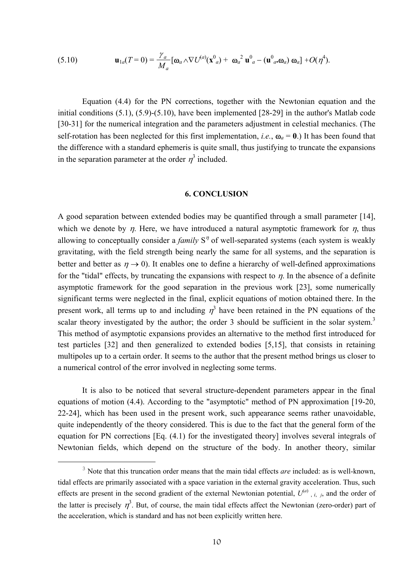(5.10) 
$$
\mathbf{u}_{1a}(T=0) = \frac{\gamma_a}{M_a} [\mathbf{\omega}_a \wedge \nabla U^{(a)}(\mathbf{x}^0_{a}) + \mathbf{\omega}_a^2 \mathbf{u}^0_{a} - (\mathbf{u}^0_{a} \mathbf{\omega}_a) \mathbf{\omega}_a] + O(\eta^4).
$$

 Equation (4.4) for the PN corrections, together with the Newtonian equation and the initial conditions (5.1), (5.9)-(5.10), have been implemented [28-29] in the author's Matlab code [30-31] for the numerical integration and the parameters adjustment in celestial mechanics. (The self-rotation has been neglected for this first implementation, *i.e.*,  $\omega_a = 0$ .) It has been found that the difference with a standard ephemeris is quite small, thus justifying to truncate the expansions in the separation parameter at the order  $\eta^3$  included.

### **6. CONCLUSION**

A good separation between extended bodies may be quantified through a small parameter [14], which we denote by  $\eta$ . Here, we have introduced a natural asymptotic framework for  $\eta$ , thus allowing to conceptually consider a *family*  $S<sup>*n*</sup>$  of well-separated systems (each system is weakly gravitating, with the field strength being nearly the same for all systems, and the separation is better and better as  $\eta \rightarrow 0$ ). It enables one to define a hierarchy of well-defined approximations for the "tidal" effects, by truncating the expansions with respect to  $\eta$ . In the absence of a definite asymptotic framework for the good separation in the previous work [23], some numerically significant terms were neglected in the final, explicit equations of motion obtained there. In the present work, all terms up to and including  $\eta^3$  have been retained in the PN equations of the scalar theory investigated by the author; the order 3 should be sufficient in the solar system.<sup>3</sup> This method of asymptotic expansions provides an alternative to the method first introduced for test particles [32] and then generalized to extended bodies [5,15], that consists in retaining multipoles up to a certain order. It seems to the author that the present method brings us closer to a numerical control of the error involved in neglecting some terms.

 It is also to be noticed that several structure-dependent parameters appear in the final equations of motion (4.4). According to the "asymptotic" method of PN approximation [19-20, 22-24], which has been used in the present work, such appearance seems rather unavoidable, quite independently of the theory considered. This is due to the fact that the general form of the equation for PN corrections [Eq. (4.1) for the investigated theory] involves several integrals of Newtonian fields, which depend on the structure of the body. In another theory, similar

 <sup>3</sup> <sup>3</sup> Note that this truncation order means that the main tidal effects *are* included: as is well-known, tidal effects are primarily associated with a space variation in the external gravity acceleration. Thus, such effects are present in the second gradient of the external Newtonian potential,  $U^{(a)}$ ,  $i$ ,  $j$ , and the order of the latter is precisely  $\eta^3$ . But, of course, the main tidal effects affect the Newtonian (zero-order) part of the acceleration, which is standard and has not been explicitly written here.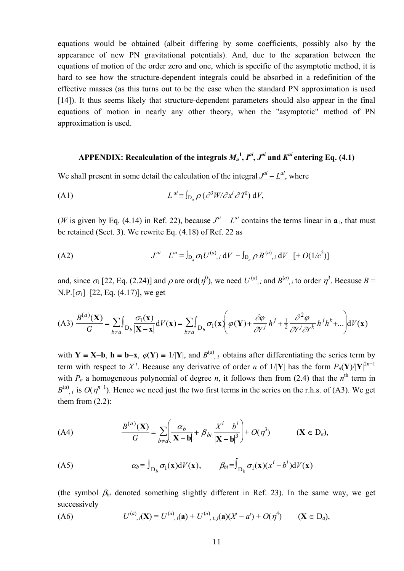equations would be obtained (albeit differing by some coefficients, possibly also by the appearance of new PN gravitational potentials). And, due to the separation between the equations of motion of the order zero and one, which is specific of the asymptotic method, it is hard to see how the structure-dependent integrals could be absorbed in a redefinition of the effective masses (as this turns out to be the case when the standard PN approximation is used [14]). It thus seems likely that structure-dependent parameters should also appear in the final equations of motion in nearly any other theory, when the "asymptotic" method of PN approximation is used.

### APPENDIX: Recalculation of the integrals  $M_a^{\ 1}, I^{ai}, J^{ai}$  and  $K^{ai}$  entering Eq. (4.1)

We shall present in some detail the calculation of the <u>integral  $J^{ai} - L^{ai}$ </u>, where

(A1) 
$$
L^{ai} \equiv \int_{D_a} \rho \left( \frac{\partial^3 W}{\partial x^i} \frac{\partial T^2}{\partial T^2} \right) dV,
$$

(*W* is given by Eq. (4.14) in Ref. 22), because  $J^{ai} - L^{ai}$  contains the terms linear in  $a_1$ , that must be retained (Sect. 3). We rewrite Eq. (4.18) of Ref. 22 as

(A2) 
$$
J^{ai} - L^{ai} = \int_{D_a} \sigma_1 U^{(a)}, \, dV + \int_{D_a} \rho B^{(a)}, \, dV \, [+ O(1/c^2)]
$$

and, since  $\sigma_1$  [22, Eq. (2.24)] and  $\rho$  are ord( $\eta^0$ ), we need  $U^{(a)}$ , *i* and  $B^{(a)}$ , *i* to order  $\eta^3$ . Because  $B =$ N.P.[ $\sigma_1$ ] [22, Eq. (4.17)], we get

$$
\text{(A3)}\ \frac{B^{(a)}(\mathbf{X})}{G} = \sum_{b \neq a} \int_{\mathcal{D}_b} \frac{\sigma_1(\mathbf{x})}{|\mathbf{X} - \mathbf{x}|} dV(\mathbf{x}) = \sum_{b \neq a} \int_{\mathcal{D}_b} \sigma_1(\mathbf{x}) \left( \varphi(\mathbf{Y}) + \frac{\partial \varphi}{\partial Y^j} h^j + \frac{1}{2} \frac{\partial^2 \varphi}{\partial Y^j \partial Y^k} h^j h^k + \dots \right) dV(\mathbf{x})
$$

with **Y** = **X**−**b**, **h** = **b**−**x**,  $\varphi$ (**Y**) = 1/|**Y**|, and  $B^{(a)}$ , *i* obtains after differentiating the series term by term with respect to X<sup>i</sup>. Because any derivative of order *n* of  $1/|\mathbf{Y}|$  has the form  $P_n(\mathbf{Y})/|\mathbf{Y}|^{2n+1}$ with  $P_n$  a homogeneous polynomial of degree *n*, it follows then from (2.4) that the  $n^{\text{th}}$  term in  $B^{(a)}$ , *i* is  $O(\eta^{n+1})$ . Hence we need just the two first terms in the series on the r.h.s. of (A3). We get them from  $(2.2)$ :

(A4) 
$$
\frac{B^{(a)}(\mathbf{X})}{G} = \sum_{b \neq a} \left( \frac{\alpha_b}{|\mathbf{X} - \mathbf{b}|} + \beta_{bi} \frac{X^i - b^i}{|\mathbf{X} - \mathbf{b}|^3} \right) + O(\eta^3) \qquad (\mathbf{X} \in \mathcal{D}_a),
$$

(A5) 
$$
\alpha_b \equiv \int_{D_b} \sigma_l(\mathbf{x}) dV(\mathbf{x}), \qquad \beta_{bi} \equiv \int_{D_b} \sigma_l(\mathbf{x}) (x^i - b^i) dV(\mathbf{x})
$$

(the symbol  $\beta_{bi}$  denoted something slightly different in Ref. 23). In the same way, we get successively

(A6) 
$$
U^{(a)}, i(X) = U^{(a)}, i(a) + U^{(a)}, i, j(a)(X^j - a^j) + O(\eta^4) \qquad (X \in D_a),
$$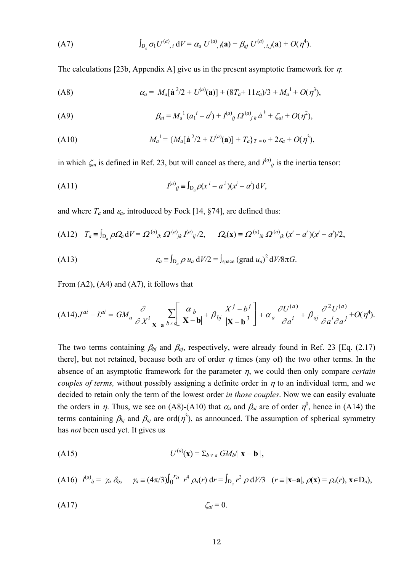(A7) 
$$
\int_{D_a} \sigma_1 U^{(a)}, \, dV = \alpha_a U^{(a)}, \, d\mathbf{a}) + \beta_{aj} U^{(a)}, \, i, j(\mathbf{a}) + O(\eta^4).
$$

The calculations [23b, Appendix A] give us in the present asymptotic framework for  $\eta$ :

(A8) 
$$
\alpha_a = M_a[\dot{\mathbf{a}}^2/2 + U^{(a)}(\mathbf{a})] + (8T_a + 11\epsilon_a)/3 + M_a^1 + O(\eta^3),
$$

(A9) 
$$
\beta_{ai} = M_a^1 (a_1^i - a^i) + I^{(a)}_{ij} \Omega^{(a)}{}_{jk} \dot{a}^k + \zeta_{ai} + O(\eta^2),
$$

(A10) 
$$
M_a^1 = \{ M_a[\mathbf{a}^2/2 + U^{(a)}(\mathbf{a})] + T_a \}_{T=0} + 2\varepsilon_a + O(\eta^3),
$$

in which  $\zeta_{ai}$  is defined in Ref. 23, but will cancel as there, and  $I^{(a)}_{ij}$  is the inertia tensor:

(A11) 
$$
I^{(a)}_{ij} \equiv \int_{D_a} \rho(x^i - a^i)(x^j - a^j) dV,
$$

and where  $T_a$  and  $\varepsilon_a$ , introduced by Fock [14, §74], are defined thus:

(A12) 
$$
T_a \equiv \int_{D_a} \rho \Omega_a dV = \Omega^{(a)}{}_{ik} \Omega^{(a)}{}_{jk} I^{(a)}{}_{ij}/2, \qquad \Omega_a(\mathbf{x}) \equiv \Omega^{(a)}{}_{ik} \Omega^{(a)}{}_{jk} (x^i - a^i)(x^j - a^j)/2,
$$

(A13) 
$$
\varepsilon_a \equiv \int_{D_a} \rho u_a dV / 2 = \int_{\text{space}} (grad u_a)^2 dV / 8 \pi G.
$$

From (A2), (A4) and (A7), it follows that

$$
(\mathbf{A14})\mathbf{J}^{ai} - \mathbf{L}^{ai} = GM_a \frac{\partial}{\partial X^i} \sum_{\mathbf{X} = \mathbf{a}} \sum_{b \neq a} \left[ \frac{\alpha_b}{|\mathbf{X} - \mathbf{b}|} + \beta_{bj} \frac{X^j - b^j}{|\mathbf{X} - \mathbf{b}|^3} \right] + \alpha_a \frac{\partial U^{(a)}}{\partial a^i} + \beta_{aj} \frac{\partial^2 U^{(a)}}{\partial a^i \partial a^j} + O(\eta^4).
$$

The two terms containing  $\beta_{bj}$  and  $\beta_{aj}$ , respectively, were already found in Ref. 23 [Eq. (2.17) there], but not retained, because both are of order  $\eta$  times (any of) the two other terms. In the absence of an asymptotic framework for the parameter η, we could then only compare *certain couples of terms,* without possibly assigning a definite order in  $\eta$  to an individual term, and we decided to retain only the term of the lowest order *in those couples*. Now we can easily evaluate the orders in  $\eta$ . Thus, we see on (A8)-(A10) that  $\alpha_a$  and  $\beta_{ai}$  are of order  $\eta^0$ , hence in (A14) the terms containing  $\beta_{bj}$  and  $\beta_{aj}$  are ord( $\eta^3$ ), as announced. The assumption of spherical symmetry has *not* been used yet. It gives us

$$
(A15) \tU^{(a)}(\mathbf{x}) = \sum_{b \neq a} GM_b \|\mathbf{x} - \mathbf{b}\|,
$$

(A16) 
$$
I^{(a)}_{ij} = \gamma_a \delta_{ij}, \quad \gamma_a = (4\pi/3) \int_0^{r_a} r^4 \rho_a(r) dr = \int_{D_a} r^2 \rho dV/3 \quad (r = |\mathbf{x} - \mathbf{a}|, \rho(\mathbf{x}) = \rho_a(r), \mathbf{x} \in D_a),
$$

$$
\zeta_{ai} = 0.
$$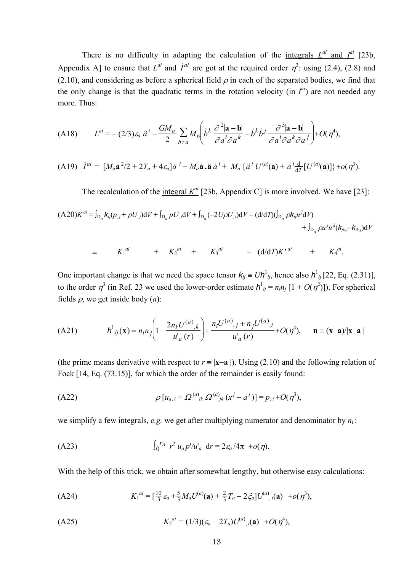There is no difficulty in adapting the calculation of the <u>integrals  $L^{ai}$  and  $I^{ai}$ </u> [23b, Appendix A] to ensure that  $L^{ai}$  and  $\dot{I}^{ai}$  are got at the required order  $\eta^3$ : using (2.4), (2.8) and (2.10), and considering as before a spherical field  $\rho$  in each of the separated bodies, we find that the only change is that the quadratic terms in the rotation velocity (in  $I^{ai}$ ) are not needed any more. Thus:

(A18) 
$$
L^{ai} = -(2/3)\varepsilon_a \ddot{a}^i - \frac{GM_a}{2} \sum_{b \neq a} M_b \left( \ddot{b}^k \frac{\partial^2 |\mathbf{a} - \mathbf{b}|}{\partial a^i \partial a^k} - \dot{b}^k \dot{b}^j \frac{\partial^3 |\mathbf{a} - \mathbf{b}|}{\partial a^i \partial a^k \partial a^j} \right) + O(\eta^4),
$$

(A19) 
$$
\dot{I}^{ai} = [M_a \dot{\mathbf{a}}^2/2 + 2T_a + 4\varepsilon_a] \ddot{a}^i + M_a \dot{\mathbf{a}} \ddot{a}^i + M_a \{\ddot{a}^i U^{(a)}(\mathbf{a}) + \dot{a}^i \frac{d}{dT} [U^{(a)}(\mathbf{a})]\} + o(\eta^3).
$$

The recalculation of the integral  $K^{ai}$  [23b, Appendix C] is more involved. We have [23]:

$$
(A20)K^{ai} = \int_{D_a} k_{ij}(p_{,j} + \rho U_{,j})dV + \int_{D_a} p U_{,i}dV + \int_{D_a} (-2U\rho U_{,i})dV - (d/dT)(\int_{D_a} \rho k_{ij}u^j dV) + \int_{D_a} \rho u^j u^k (k_{jk,i} - k_{ik,j})dV
$$

 $\equiv$   $K_1^{ai}$  +  $K_2^{ai}$  +  $K_3^{ai}$  -  $(d/dT)K^{ai}$  +  $K_4^{ai}$ .

One important change is that we need the space tensor  $k_{ij} = Uh_{ij}^1$ , hence also  $h_{ij}^1$  [22, Eq. (2.31)], to the order  $\eta^3$  (in Ref. 23 we used the lower-order estimate  $h^1_{ij} = n_i n_j [1 + O(\eta^2)]$ ). For spherical fields ρ, we get inside body (*a*):

(A21) 
$$
h^{1}_{ij}(\mathbf{x}) = n_{i}n_{j} \left(1 - \frac{2n_{k}U^{(a)}_{j,k}}{u^{'}_{a}(r)}\right) + \frac{n_{i}U^{(a)}_{j,j} + n_{j}U^{(a)}_{j,i}}{u^{'}_{a}(r)} + O(\eta^{4}), \quad \mathbf{n} = (\mathbf{x} - \mathbf{a})/|\mathbf{x} - \mathbf{a}|
$$

(the prime means derivative with respect to  $r = |{\bf x}-{\bf a}|$ ). Using (2.10) and the following relation of Fock [14, Eq. (73.15)], for which the order of the remainder is easily found:

(A22) 
$$
\rho [u_{a,i} + \Omega^{(a)}{}_{ik} \Omega^{(a)}{}_{jk} (x^j - a^j)] = p_{,i} + O(\eta^3),
$$

we simplify a few integrals, *e.g.* we get after multiplying numerator and denominator by *ni* :

(A23) 
$$
\int_0^{r_a} r^2 u_a p' / u'_a dr = 2\varepsilon_a / 4\pi + o(\eta).
$$

With the help of this trick, we obtain after somewhat lengthy, but otherwise easy calculations:

(A24) 
$$
K_1^{ai} = \left[\frac{10}{3}\varepsilon_a + \frac{5}{3}M_aU^{(a)}(\mathbf{a}) + \frac{2}{3}T_a - 2\zeta_a\right]U^{(a)}, i(\mathbf{a}) + o(\eta^3),
$$

(A25) 
$$
K_2^{ai} = (1/3)(\varepsilon_a - 2T_a)U^{(a)},i(\mathbf{a}) + O(\eta^4),
$$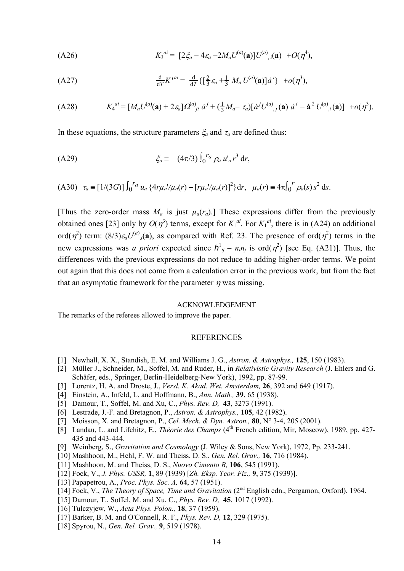(A26) 
$$
K_3^{ai} = [2\xi_a - 4\varepsilon_a - 2M_a U^{(a)}(\mathbf{a})]U^{(a)}, i(\mathbf{a}) + O(\eta^4),
$$

(A27) 
$$
\frac{d}{dT} K^{*ai} = \frac{d}{dT} \{ \left[ \frac{2}{3} \varepsilon_a + \frac{1}{3} M_a U^{(a)}(a) \right] \dot{a}^i \} + o(\eta^3),
$$

(A28) 
$$
K_4^{ai} = [M_a U^{(a)}(\mathbf{a}) + 2\varepsilon_a] \Omega^{(a)}_{ji} \dot{a}^j + (\frac{1}{3} M_a - \tau_a) [\dot{a}^j U^{(a)}_{,j}(\mathbf{a}) \dot{a}^i - \dot{\mathbf{a}}^2 U^{(a)}_{,i}(\mathbf{a})] + o(\eta^3).
$$

In these equations, the structure parameters  $\xi_a$  and  $\tau_a$  are defined thus:

(A29)

\n
$$
\xi_a \equiv - (4\pi/3) \int_0^{r_a} \rho_a \, u'_a \, r^3 \, \mathrm{d}r,
$$

(A30) 
$$
\tau_a \equiv [1/(3G)] \int_0^{r_a} u_a \{4r\mu_a/\mu_a(r) - [r\mu_a/\mu_a(r)]^2\} dr
$$
,  $\mu_a(r) \equiv 4\pi \int_0^{r} \rho_a(s) s^2 ds$ .

[Thus the zero-order mass  $M_a$  is just  $\mu_a(r_a)$ .] These expressions differ from the previously obtained ones [23] only by  $O(\eta^3)$  terms, except for  $K_1^{ai}$ . For  $K_1^{ai}$ , there is in (A24) an additional ord( $\eta^2$ ) term: (8/3) $\varepsilon_a U^{(a)}(a)$ , as compared with Ref. 23. The presence of ord( $\eta^2$ ) terms in the new expressions was *a priori* expected since  $h^1_{ij} - n_i n_j$  is ord $(\eta^2)$  [see Eq. (A21)]. Thus, the differences with the previous expressions do not reduce to adding higher-order terms. We point out again that this does not come from a calculation error in the previous work, but from the fact that an asymptotic framework for the parameter  $\eta$  was missing.

#### ACKNOWLEDGEMENT

The remarks of the referees allowed to improve the paper.

### **REFERENCES**

- [1] Newhall, X. X., Standish, E. M. and Williams J. G., *Astron. & Astrophys.,* **125**, 150 (1983).
- [2] Müller J., Schneider, M., Soffel, M. and Ruder, H., in *Relativistic Gravity Research* (J. Ehlers and G. Schäfer, eds., Springer, Berlin-Heidelberg-New York), 1992, pp. 87-99.
- [3] Lorentz, H. A. and Droste, J., *Versl. K. Akad. Wet. Amsterdam,* **26**, 392 and 649 (1917).
- [4] Einstein, A., Infeld, L. and Hoffmann, B., *Ann. Math.,* **39**, 65 (1938).
- [5] Damour, T., Soffel, M. and Xu, C., *Phys. Rev. D,* **43**, 3273 (1991).
- [6] Lestrade, J.-F. and Bretagnon, P., *Astron. & Astrophys.,* **105**, 42 (1982).
- [7] Moisson, X. and Bretagnon, P., *Cel. Mech. & Dyn. Astron.,* **80**, N° 3-4, 205 (2001).
- [8] Landau, L. and Lifchitz, E., *Théorie des Champs* (4<sup>th</sup> French edition, Mir, Moscow), 1989, pp. 427-435 and 443-444.
- [9] Weinberg, S., *Gravitation and Cosmology* (J. Wiley & Sons, New York), 1972, Pp. 233-241.
- [10] Mashhoon, M., Hehl, F. W. and Theiss, D. S., *Gen. Rel. Grav.,* **16**, 716 (1984).
- [11] Mashhoon, M. and Theiss, D. S., *Nuovo Cimento B,* **106**, 545 (1991).
- [12] Fock, V., *J. Phys. USSR,* **1**, 89 (1939) [*Zh. Eksp. Teor. Fiz.,* **9**, 375 (1939)].
- [13] Papapetrou, A., *Proc. Phys. Soc. A,* **64**, 57 (1951).
- [14] Fock, V., *The Theory of Space, Time and Gravitation* (2nd English edn., Pergamon, Oxford), 1964.
- [15] Damour, T., Soffel, M. and Xu, C., *Phys. Rev. D,* **45**, 1017 (1992).
- [16] Tulczyjew, W., *Acta Phys. Polon.,* **18**, 37 (1959).
- [17] Barker, B. M. and O'Connell, R. F., *Phys. Rev. D,* **12**, 329 (1975).
- [18] Spyrou, N., *Gen. Rel. Grav.,* **9**, 519 (1978).